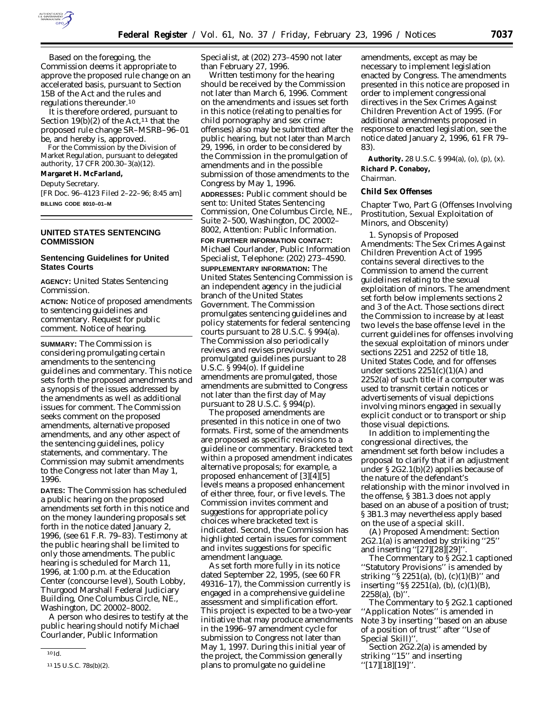

Based on the foregoing, the Commission deems it appropriate to approve the proposed rule change on an accelerated basis, pursuant to Section 15B of the Act and the rules and regulations thereunder.10

It is therefore ordered, pursuant to Section 19(b)(2) of the Act,<sup>11</sup> that the proposed rule change SR–MSRB–96–01 be, and hereby is, approved.

For the Commission by the Division of Market Regulation, pursuant to delegated authority, 17 CFR 200.30–3(a)(12).

**Margaret H. McFarland,**

*Deputy Secretary.*

[FR Doc. 96–4123 Filed 2–22–96; 8:45 am] **BILLING CODE 8010–01–M**

## **UNITED STATES SENTENCING COMMISSION**

# **Sentencing Guidelines for United States Courts**

**AGENCY:** United States Sentencing Commission.

**ACTION:** Notice of proposed amendments to sentencing guidelines and commentary. Request for public comment. Notice of hearing.

**SUMMARY:** The Commission is considering promulgating certain amendments to the sentencing guidelines and commentary. This notice sets forth the proposed amendments and a synopsis of the issues addressed by the amendments as well as additional issues for comment. The Commission seeks comment on the proposed amendments, alternative proposed amendments, and any other aspect of the sentencing guidelines, policy statements, and commentary. The Commission may submit amendments to the Congress not later than May 1, 1996.

**DATES:** The Commission has scheduled a public hearing on the proposed amendments set forth in this notice and on the money laundering proposals set forth in the notice dated January 2, 1996, (see 61 F.R. 79–83). Testimony at the public hearing shall be limited to only those amendments. The public hearing is scheduled for March 11, 1996, at 1:00 p.m. at the Education Center (concourse level), South Lobby, Thurgood Marshall Federal Judiciary Building, One Columbus Circle, NE., Washington, DC 20002–8002.

A person who desires to testify at the public hearing should notify Michael Courlander, Public Information

Specialist, at (202) 273–4590 not later than February 27, 1996.

Written testimony for the hearing should be received by the Commission not later than March 6, 1996. Comment on the amendments and issues set forth in this notice (relating to penalties for child pornography and sex crime offenses) also may be submitted after the public hearing, but not later than March 29, 1996, in order to be considered by the Commission in the promulgation of amendments and in the possible submission of those amendments to the Congress by May 1, 1996.

**ADDRESSES:** Public comment should be sent to: United States Sentencing Commission, One Columbus Circle, NE., Suite 2–500, Washington, DC 20002– 8002, Attention: Public Information.

**FOR FURTHER INFORMATION CONTACT:** Michael Courlander, Public Information Specialist, Telephone: (202) 273–4590.

**SUPPLEMENTARY INFORMATION:** The United States Sentencing Commission is an independent agency in the judicial branch of the United States Government. The Commission promulgates sentencing guidelines and policy statements for federal sentencing courts pursuant to 28 U.S.C. § 994(a). The Commission also periodically reviews and revises previously promulgated guidelines pursuant to 28 U.S.C. § 994(o). If guideline amendments are promulgated, those amendments are submitted to Congress not later than the first day of May pursuant to 28 U.S.C. § 994(p).

The proposed amendments are presented in this notice in one of two formats. First, some of the amendments are proposed as specific revisions to a guideline or commentary. Bracketed text within a proposed amendment indicates alternative proposals; for example, a proposed enhancement of [3][4][5] levels means a proposed enhancement of either three, four, or five levels. The Commission invites comment and suggestions for appropriate policy choices where bracketed text is indicated. Second, the Commission has highlighted certain issues for comment and invites suggestions for specific amendment language.

As set forth more fully in its notice dated September 22, 1995, (see 60 FR 49316–17), the Commission currently is engaged in a comprehensive guideline assessment and simplification effort. This project is expected to be a two-year initiative that may produce amendments in the 1996–97 amendment cycle for submission to Congress not later than May 1, 1997. During this initial year of the project, the Commission generally plans to promulgate no guideline

amendments, except as may be necessary to implement legislation enacted by Congress. The amendments presented in this notice are proposed in order to implement congressional directives in the Sex Crimes Against Children Prevention Act of 1995. (For additional amendments proposed in response to enacted legislation, see the notice dated January 2, 1996, 61 FR 79– 83).

**Authority.** 28 U.S.C. § 994(a), (o), (p), (x). **Richard P. Conaboy,**

*Chairman.*

## **Child Sex Offenses**

*Chapter Two, Part G (Offenses Involving Prostitution, Sexual Exploitation of Minors, and Obscenity)*

1. Synopsis of Proposed Amendments: The Sex Crimes Against Children Prevention Act of 1995 contains several directives to the Commission to amend the current guidelines relating to the sexual exploitation of minors. The amendment set forth below implements sections 2 and 3 of the Act. Those sections direct the Commission to increase by at least two levels the base offense level in the current guidelines for offenses involving the sexual exploitation of minors under sections 2251 and 2252 of title 18, United States Code, and for offenses under sections  $2251(c)(1)(A)$  and 2252(a) of such title if a computer was used to transmit certain notices or advertisements of visual depictions involving minors engaged in sexually explicit conduct or to transport or ship those visual depictions.

In addition to implementing the congressional directives, the amendment set forth below includes a proposal to clarify that if an adjustment under § 2G2.1(b)(2) applies because of the nature of the defendant's relationship with the minor involved in the offense, § 3B1.3 does not apply based on an abuse of a position of trust; § 3B1.3 may nevertheless apply based on the use of a special skill.

(A) Proposed Amendment: Section 2G2.1(a) is amended by striking ''25'' and inserting ''[27][28][29]''.

The Commentary to § 2G2.1 captioned ''Statutory Provisions'' is amended by striking ''§ 2251(a), (b), (c)(1)(B)'' and inserting ''§§ 2251(a), (b), (c)(1)(B),  $2258(a)$ , (b)".

The Commentary to § 2G2.1 captioned ''Application Notes'' is amended in Note 3 by inserting ''based on an abuse of a position of trust'' after ''Use of Special Skill)''.

Section 2G2.2(a) is amended by striking ''15'' and inserting ''[17][18][19]''.

<sup>10</sup> *Id.*

<sup>11</sup> 15 U.S.C. 78s(b)(2).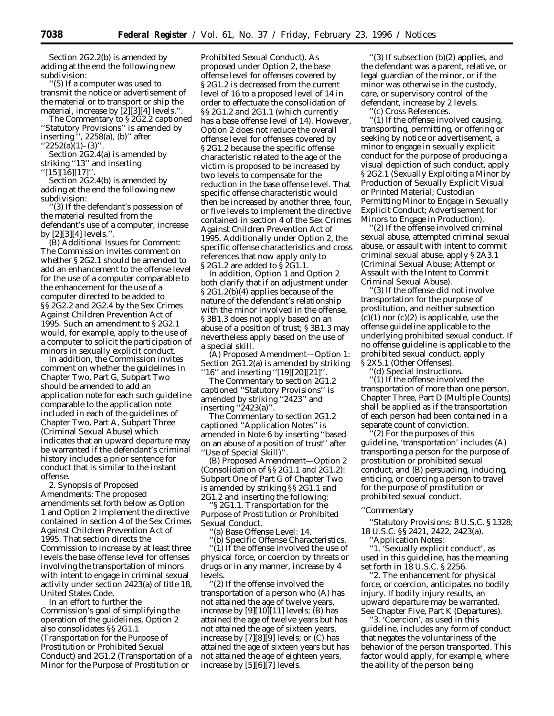Section 2G2.2(b) is amended by adding at the end the following new subdivision:

''(5) If a computer was used to transmit the notice or advertisement of the material or to transport or ship the material, increase by [2][3][4] levels.''.

The Commentary to § 2G2.2 captioned ''Statutory Provisions'' is amended by inserting '', 2258(a), (b)'' after  $2252(a)(1)$ –(3)<sup>\*\*</sup>

Section 2G2.4(a) is amended by striking ''13'' and inserting

 $'[15][16][17]$ 

Section 2G2.4(b) is amended by adding at the end the following new subdivision:

'(3) If the defendant's possession of the material resulted from the defendant's use of a computer, increase by [2][3][4] levels.''.

(B) Additional Issues for Comment: The Commission invites comment on whether § 2G2.1 should be amended to add an enhancement to the offense level for the use of a computer comparable to the enhancement for the use of a computer directed to be added to §§ 2G2.2 and 2G2.4 by the Sex Crimes Against Children Prevention Act of 1995. Such an amendment to § 2G2.1 would, for example, apply to the use of a computer to solicit the participation of minors in sexually explicit conduct.

In addition, the Commission invites comment on whether the guidelines in Chapter Two, Part G, Subpart Two should be amended to add an application note for each such guideline comparable to the application note included in each of the guidelines of Chapter Two, Part A, Subpart Three (Criminal Sexual Abuse) which indicates that an upward departure may be warranted if the defendant's criminal history includes a prior sentence for conduct that is similar to the instant offense.

2. Synopsis of Proposed Amendments: The proposed amendments set forth below as Option 1 and Option 2 implement the directive contained in section 4 of the Sex Crimes Against Children Prevention Act of 1995. That section directs the Commission to increase by at least three levels the base offense level for offenses involving the transportation of minors with intent to engage in criminal sexual activity under section 2423(a) of title 18, United States Code.

In an effort to further the Commission's goal of simplifying the operation of the guidelines, Option 2 also consolidates §§ 2G1.1 (Transportation for the Purpose of Prostitution or Prohibited Sexual Conduct) and 2G1.2 (Transportation of a Minor for the Purpose of Prostitution or

Prohibited Sexual Conduct). As proposed under Option 2, the base offense level for offenses covered by § 2G1.2 is decreased from the current level of 16 to a proposed level of 14 in order to effectuate the consolidation of §§ 2G1.2 and 2G1.1 (which currently has a base offense level of 14). However, Option 2 does not reduce the overall offense level for offenses covered by § 2G1.2 because the specific offense characteristic related to the age of the victim is proposed to be increased by two levels to compensate for the reduction in the base offense level. That specific offense characteristic would then be increased by another three, four, or five levels to implement the directive contained in section 4 of the Sex Crimes Against Children Prevention Act of 1995. Additionally under Option 2, the specific offense characteristics and cross references that now apply only to § 2G1.2 are added to § 2G1.1.

In addition, Option 1 and Option 2 both clarify that if an adjustment under § 2G1.2(b)(4) applies because of the nature of the defendant's relationship with the minor involved in the offense, § 3B1.3 does not apply based on an abuse of a position of trust; § 3B1.3 may nevertheless apply based on the use of a special skill.

(A) Proposed Amendment—Option 1: Section 2G1.2(a) is amended by striking "16" and inserting "[19][20][21]".

The Commentary to section 2G1.2 captioned ''Statutory Provisions'' is amended by striking ''2423'' and inserting ''2423(a)''.

The Commentary to section 2G1.2 captioned ''Application Notes'' is amended in Note 6 by inserting ''based on an abuse of a position of trust'' after ''Use of Special Skill)''.

(B) Proposed Amendment—Option 2 (Consolidation of §§ 2G1.1 and 2G1.2): Subpart One of Part G of Chapter Two is amended by striking §§ 2G1.1 and 2G1.2 and inserting the following:

'S 2G1.1. Transportation for the Purpose of Prostitution or Prohibited Sexual Conduct.

''(a) Base Offense Level: 14.

''(b) Specific Offense Characteristics. ''(1) If the offense involved the use of physical force, or coercion by threats or drugs or in any manner, increase by 4 levels.

''(2) If the offense involved the transportation of a person who (A) has not attained the age of twelve years, increase by  $[9][10][11]$  levels; (B) has attained the age of twelve years but has not attained the age of sixteen years, increase by [7][8][9] levels; or (C) has attained the age of sixteen years but has not attained the age of eighteen years, increase by [5][6][7] levels.

''(3) If subsection (b)(2) applies, and the defendant was a parent, relative, or legal guardian of the minor, or if the minor was otherwise in the custody, care, or supervisory control of the defendant, increase by 2 levels.

''(c) Cross References.

''(1) If the offense involved causing, transporting, permitting, or offering or seeking by notice or advertisement, a minor to engage in sexually explicit conduct for the purpose of producing a visual depiction of such conduct, apply § 2G2.1 (Sexually Exploiting a Minor by Production of Sexually Explicit Visual or Printed Material; Custodian Permitting Minor to Engage in Sexually Explicit Conduct; Advertisement for Minors to Engage in Production).

''(2) If the offense involved criminal sexual abuse, attempted criminal sexual abuse, or assault with intent to commit criminal sexual abuse, apply § 2A3.1 (Criminal Sexual Abuse; Attempt or Assault with the Intent to Commit Criminal Sexual Abuse).

'(3) If the offense did not involve transportation for the purpose of prostitution, and neither subsection  $(c)(1)$  nor  $(c)(2)$  is applicable, use the offense guideline applicable to the underlying prohibited sexual conduct. If no offense guideline is applicable to the prohibited sexual conduct, apply § 2X5.1 (Other Offenses).

''(d) Special Instructions.

''(1) If the offense involved the transportation of more than one person, Chapter Three, Part D (Multiple Counts) shall be applied as if the transportation of each person had been contained in a separate count of conviction.

(2) For the purposes of this guideline, 'transportation' includes (A) transporting a person for the purpose of prostitution or prohibited sexual conduct, and (B) persuading, inducing, enticing, or coercing a person to travel for the purpose of prostitution or prohibited sexual conduct.

### ''Commentary

''Statutory Provisions: 8 U.S.C. § 1328; 18 U.S.C. §§ 2421, 2422, 2423(a).

''Application Notes:

''1. 'Sexually explicit conduct', as used in this guideline, has the meaning set forth in 18 U.S.C. § 2256.

''2. The enhancement for physical force, or coercion, anticipates no bodily injury. If bodily injury results, an upward departure may be warranted. See Chapter Five, Part K (Departures).

''3. 'Coercion', as used in this guideline, includes any form of conduct that negates the voluntariness of the behavior of the person transported. This factor would apply, for example, where the ability of the person being